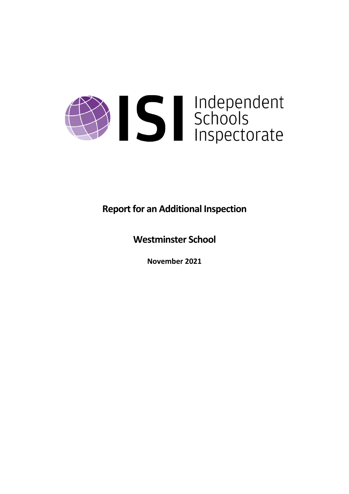

**Report for an Additional Inspection** 

**Westminster School**

**November 2021**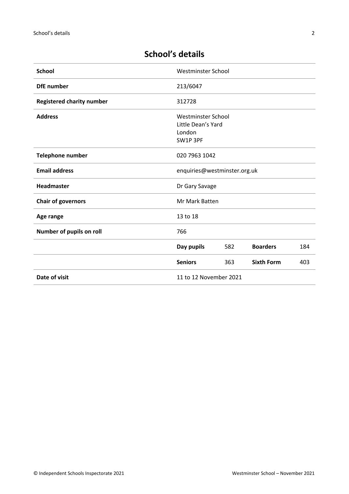# **School's details**

| <b>School</b>                    | Westminster School                                             |     |                   |     |
|----------------------------------|----------------------------------------------------------------|-----|-------------------|-----|
| <b>DfE</b> number                | 213/6047                                                       |     |                   |     |
| <b>Registered charity number</b> | 312728                                                         |     |                   |     |
| <b>Address</b>                   | Westminster School<br>Little Dean's Yard<br>London<br>SW1P 3PF |     |                   |     |
| <b>Telephone number</b>          | 020 7963 1042                                                  |     |                   |     |
| <b>Email address</b>             | enquiries@westminster.org.uk                                   |     |                   |     |
| Headmaster                       | Dr Gary Savage                                                 |     |                   |     |
| <b>Chair of governors</b>        | Mr Mark Batten                                                 |     |                   |     |
| Age range                        | 13 to 18                                                       |     |                   |     |
| Number of pupils on roll         | 766                                                            |     |                   |     |
|                                  | Day pupils                                                     | 582 | <b>Boarders</b>   | 184 |
|                                  | <b>Seniors</b>                                                 | 363 | <b>Sixth Form</b> | 403 |
| Date of visit                    | 11 to 12 November 2021                                         |     |                   |     |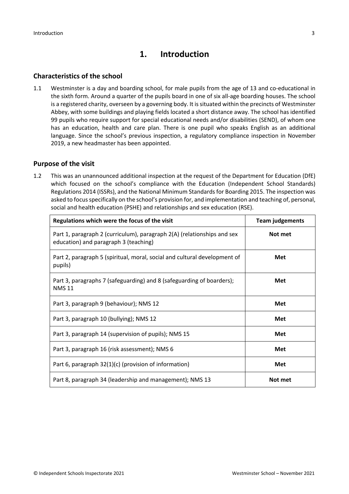# **1. Introduction**

#### **Characteristics of the school**

1.1 Westminster is a day and boarding school, for male pupils from the age of 13 and co-educational in the sixth form. Around a quarter of the pupils board in one of six all-age boarding houses. The school is a registered charity, overseen by a governing body. It is situated within the precincts of Westminster Abbey, with some buildings and playing fields located a short distance away. The school has identified 99 pupils who require support for special educational needs and/or disabilities (SEND), of whom one has an education, health and care plan. There is one pupil who speaks English as an additional language. Since the school's previous inspection, a regulatory compliance inspection in November 2019, a new headmaster has been appointed.

#### **Purpose of the visit**

1.2 This was an unannounced additional inspection at the request of the Department for Education (DfE) which focused on the school's compliance with the Education (Independent School Standards) Regulations 2014 (ISSRs), and the National Minimum Standards for Boarding 2015. The inspection was asked to focus specifically on the school's provision for, and implementation and teaching of, personal, social and health education (PSHE) and relationships and sex education (RSE).

| Regulations which were the focus of the visit                                                                    | <b>Team judgements</b> |  |
|------------------------------------------------------------------------------------------------------------------|------------------------|--|
| Part 1, paragraph 2 (curriculum), paragraph 2(A) (relationships and sex<br>education) and paragraph 3 (teaching) | Not met                |  |
| Part 2, paragraph 5 (spiritual, moral, social and cultural development of<br>pupils)                             | Met                    |  |
| Part 3, paragraphs 7 (safeguarding) and 8 (safeguarding of boarders);<br><b>NMS 11</b>                           | Met                    |  |
| Part 3, paragraph 9 (behaviour); NMS 12                                                                          | Met                    |  |
| Part 3, paragraph 10 (bullying); NMS 12                                                                          | <b>Met</b>             |  |
| Part 3, paragraph 14 (supervision of pupils); NMS 15                                                             | Met                    |  |
| Part 3, paragraph 16 (risk assessment); NMS 6                                                                    | Met                    |  |
| Part 6, paragraph 32(1)(c) (provision of information)                                                            | Met                    |  |
| Part 8, paragraph 34 (leadership and management); NMS 13                                                         | Not met                |  |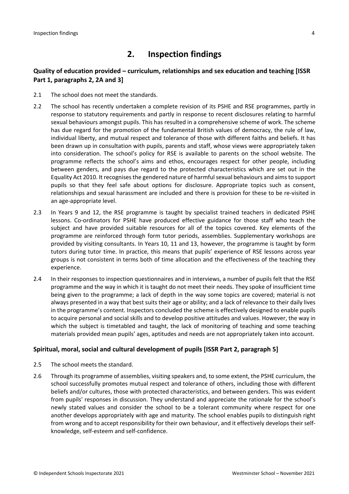# **2. Inspection findings**

#### **Quality of education provided – curriculum, relationships and sex education and teaching [ISSR Part 1, paragraphs 2, 2A and 3]**

- 2.1 The school does not meet the standards.
- 2.2 The school has recently undertaken a complete revision of its PSHE and RSE programmes, partly in response to statutory requirements and partly in response to recent disclosures relating to harmful sexual behaviours amongst pupils. This has resulted in a comprehensive scheme of work. The scheme has due regard for the promotion of the fundamental British values of democracy, the rule of law, individual liberty, and mutual respect and tolerance of those with different faiths and beliefs. It has been drawn up in consultation with pupils, parents and staff, whose views were appropriately taken into consideration. The school's policy for RSE is available to parents on the school website. The programme reflects the school's aims and ethos, encourages respect for other people, including between genders, and pays due regard to the protected characteristics which are set out in the Equality Act 2010. It recognisesthe gendered nature of harmfulsexual behaviours and aimsto support pupils so that they feel safe about options for disclosure. Appropriate topics such as consent, relationships and sexual harassment are included and there is provision for these to be re-visited in an age-appropriate level.
- 2.3 In Years 9 and 12, the RSE programme is taught by specialist trained teachers in dedicated PSHE lessons. Co-ordinators for PSHE have produced effective guidance for those staff who teach the subject and have provided suitable resources for all of the topics covered. Key elements of the programme are reinforced through form tutor periods, assemblies. Supplementary workshops are provided by visiting consultants. In Years 10, 11 and 13, however, the programme is taught by form tutors during tutor time. In practice, this means that pupils' experience of RSE lessons across year groups is not consistent in terms both of time allocation and the effectiveness of the teaching they experience.
- 2.4 In their responses to inspection questionnaires and in interviews, a number of pupils felt that the RSE programme and the way in which it is taught do not meet their needs. They spoke of insufficient time being given to the programme; a lack of depth in the way some topics are covered; material is not always presented in a way that best suits their age or ability; and a lack of relevance to their daily lives in the programme's content. Inspectors concluded the scheme is effectively designed to enable pupils to acquire personal and social skills and to develop positive attitudes and values. However, the way in which the subject is timetabled and taught, the lack of monitoring of teaching and some teaching materials provided mean pupils' ages, aptitudes and needs are not appropriately taken into account.

#### **Spiritual, moral, social and cultural development of pupils [ISSR Part 2, paragraph 5]**

- 2.5 The school meets the standard.
- 2.6 Through its programme of assemblies, visiting speakers and, to some extent, the PSHE curriculum, the school successfully promotes mutual respect and tolerance of others, including those with different beliefs and/or cultures, those with protected characteristics, and between genders. This was evident from pupils' responses in discussion. They understand and appreciate the rationale for the school's newly stated values and consider the school to be a tolerant community where respect for one another develops appropriately with age and maturity. The school enables pupils to distinguish right from wrong and to accept responsibility for their own behaviour, and it effectively develops their selfknowledge, self-esteem and self-confidence.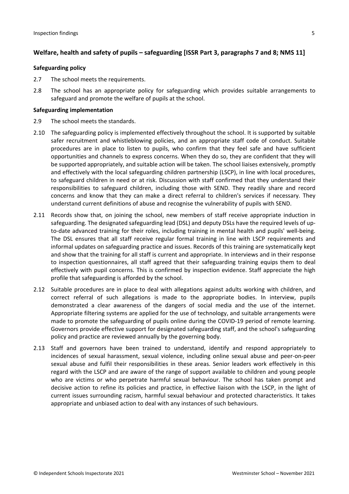#### **Welfare, health and safety of pupils – safeguarding [ISSR Part 3, paragraphs 7 and 8; NMS 11]**

#### **Safeguarding policy**

- 2.7 The school meets the requirements.
- 2.8 The school has an appropriate policy for safeguarding which provides suitable arrangements to safeguard and promote the welfare of pupils at the school.

#### **Safeguarding implementation**

- 2.9 The school meets the standards.
- 2.10 The safeguarding policy is implemented effectively throughout the school. It is supported by suitable safer recruitment and whistleblowing policies, and an appropriate staff code of conduct. Suitable procedures are in place to listen to pupils, who confirm that they feel safe and have sufficient opportunities and channels to express concerns. When they do so, they are confident that they will be supported appropriately, and suitable action will be taken. The school liaises extensively, promptly and effectively with the local safeguarding children partnership (LSCP), in line with local procedures, to safeguard children in need or at risk. Discussion with staff confirmed that they understand their responsibilities to safeguard children, including those with SEND. They readily share and record concerns and know that they can make a direct referral to children's services if necessary. They understand current definitions of abuse and recognise the vulnerability of pupils with SEND.
- 2.11 Records show that, on joining the school, new members of staff receive appropriate induction in safeguarding. The designated safeguarding lead (DSL) and deputy DSLs have the required levels of upto-date advanced training for their roles, including training in mental health and pupils' well-being. The DSL ensures that all staff receive regular formal training in line with LSCP requirements and informal updates on safeguarding practice and issues. Records of this training are systematically kept and show that the training for all staff is current and appropriate. In interviews and in their response to inspection questionnaires, all staff agreed that their safeguarding training equips them to deal effectively with pupil concerns. This is confirmed by inspection evidence. Staff appreciate the high profile that safeguarding is afforded by the school.
- 2.12 Suitable procedures are in place to deal with allegations against adults working with children, and correct referral of such allegations is made to the appropriate bodies. In interview, pupils demonstrated a clear awareness of the dangers of social media and the use of the internet. Appropriate filtering systems are applied for the use of technology, and suitable arrangements were made to promote the safeguarding of pupils online during the COVID-19 period of remote learning. Governors provide effective support for designated safeguarding staff, and the school's safeguarding policy and practice are reviewed annually by the governing body.
- 2.13 Staff and governors have been trained to understand, identify and respond appropriately to incidences of sexual harassment, sexual violence, including online sexual abuse and peer-on-peer sexual abuse and fulfil their responsibilities in these areas. Senior leaders work effectively in this regard with the LSCP and are aware of the range of support available to children and young people who are victims or who perpetrate harmful sexual behaviour. The school has taken prompt and decisive action to refine its policies and practice, in effective liaison with the LSCP, in the light of current issues surrounding racism, harmful sexual behaviour and protected characteristics. It takes appropriate and unbiased action to deal with any instances of such behaviours.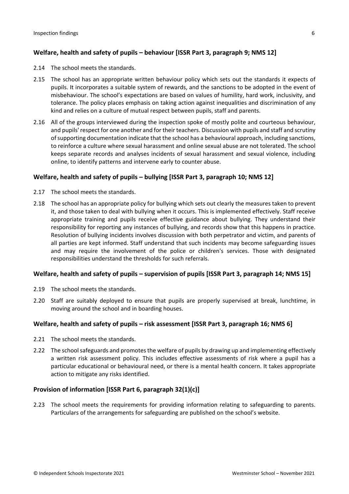#### **Welfare, health and safety of pupils – behaviour [ISSR Part 3, paragraph 9; NMS 12]**

- 2.14 The school meets the standards.
- 2.15 The school has an appropriate written behaviour policy which sets out the standards it expects of pupils. It incorporates a suitable system of rewards, and the sanctions to be adopted in the event of misbehaviour. The school's expectations are based on values of humility, hard work, inclusivity, and tolerance. The policy places emphasis on taking action against inequalities and discrimination of any kind and relies on a culture of mutual respect between pupils, staff and parents.
- 2.16 All of the groups interviewed during the inspection spoke of mostly polite and courteous behaviour, and pupils' respect for one another and for their teachers. Discussion with pupils and staff and scrutiny ofsupporting documentation indicate that the school has a behavioural approach, including sanctions, to reinforce a culture where sexual harassment and online sexual abuse are not tolerated. The school keeps separate records and analyses incidents of sexual harassment and sexual violence, including online, to identify patterns and intervene early to counter abuse.

#### **Welfare, health and safety of pupils – bullying [ISSR Part 3, paragraph 10; NMS 12]**

- 2.17 The school meets the standards.
- 2.18 The school has an appropriate policy for bullying which sets out clearly the measures taken to prevent it, and those taken to deal with bullying when it occurs. This is implemented effectively. Staff receive appropriate training and pupils receive effective guidance about bullying. They understand their responsibility for reporting any instances of bullying, and records show that this happens in practice. Resolution of bullying incidents involves discussion with both perpetrator and victim, and parents of all parties are kept informed. Staff understand that such incidents may become safeguarding issues and may require the involvement of the police or children's services. Those with designated responsibilities understand the thresholds for such referrals.

#### **Welfare, health and safety of pupils – supervision of pupils [ISSR Part 3, paragraph 14; NMS 15]**

- 2.19 The school meets the standards.
- 2.20 Staff are suitably deployed to ensure that pupils are properly supervised at break, lunchtime, in moving around the school and in boarding houses.

#### **Welfare, health and safety of pupils – risk assessment [ISSR Part 3, paragraph 16; NMS 6]**

- 2.21 The school meets the standards.
- 2.22 The school safeguards and promotes the welfare of pupils by drawing up and implementing effectively a written risk assessment policy. This includes effective assessments of risk where a pupil has a particular educational or behavioural need, or there is a mental health concern. It takes appropriate action to mitigate any risks identified.

#### **Provision of information [ISSR Part 6, paragraph 32(1)(c)]**

2.23 The school meets the requirements for providing information relating to safeguarding to parents. Particulars of the arrangements for safeguarding are published on the school's website.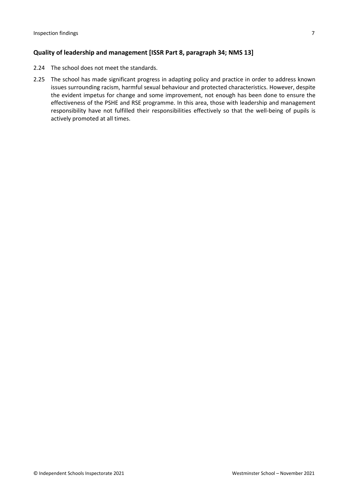#### **Quality of leadership and management [ISSR Part 8, paragraph 34; NMS 13]**

- 2.24 The school does not meet the standards.
- 2.25 The school has made significant progress in adapting policy and practice in order to address known issues surrounding racism, harmful sexual behaviour and protected characteristics. However, despite the evident impetus for change and some improvement, not enough has been done to ensure the effectiveness of the PSHE and RSE programme. In this area, those with leadership and management responsibility have not fulfilled their responsibilities effectively so that the well-being of pupils is actively promoted at all times.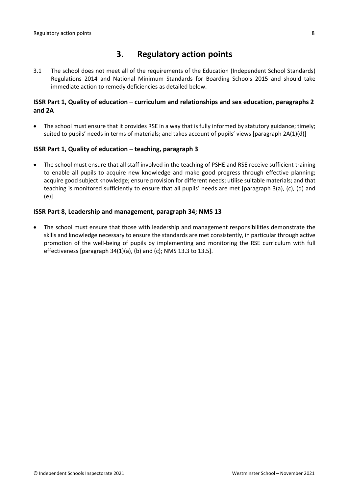### **3. Regulatory action points**

3.1 The school does not meet all of the requirements of the Education (Independent School Standards) Regulations 2014 and National Minimum Standards for Boarding Schools 2015 and should take immediate action to remedy deficiencies as detailed below.

#### **ISSR Part 1, Quality of education – curriculum and relationships and sex education, paragraphs 2 and 2A**

 The school must ensure that it provides RSE in a way that is fully informed by statutory guidance; timely; suited to pupils' needs in terms of materials; and takes account of pupils' views [paragraph 2A(1)(d)]

#### **ISSR Part 1, Quality of education – teaching, paragraph 3**

 The school must ensure that all staff involved in the teaching of PSHE and RSE receive sufficient training to enable all pupils to acquire new knowledge and make good progress through effective planning; acquire good subject knowledge; ensure provision for different needs; utilise suitable materials; and that teaching is monitored sufficiently to ensure that all pupils' needs are met [paragraph 3(a), (c), (d) and (e)]

#### **ISSR Part 8, Leadership and management, paragraph 34; NMS 13**

 The school must ensure that those with leadership and management responsibilities demonstrate the skills and knowledge necessary to ensure the standards are met consistently, in particular through active promotion of the well-being of pupils by implementing and monitoring the RSE curriculum with full effectiveness [paragraph 34(1)(a), (b) and (c); NMS 13.3 to 13.5].